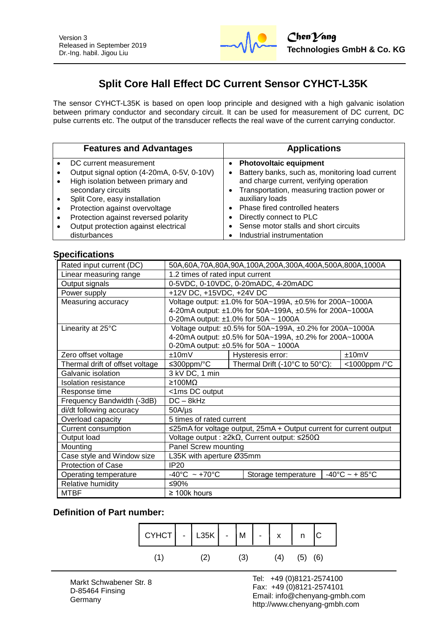

# **Split Core Hall Effect DC Current Sensor CYHCT-L35K**

The sensor CYHCT-L35K is based on open loop principle and designed with a high galvanic isolation between primary conductor and secondary circuit. It can be used for measurement of DC current, DC pulse currents etc. The output of the transducer reflects the real wave of the current carrying conductor.

| <b>Features and Advantages</b>             | <b>Applications</b>                             |
|--------------------------------------------|-------------------------------------------------|
| DC current measurement                     | <b>Photovoltaic equipment</b>                   |
| Output signal option (4-20mA, 0-5V, 0-10V) | Battery banks, such as, monitoring load current |
| High isolation between primary and         | and charge current, verifying operation         |
| secondary circuits                         | Transportation, measuring traction power or     |
| Split Core, easy installation              | auxiliary loads                                 |
| Protection against overvoltage             | Phase fired controlled heaters                  |
| Protection against reversed polarity       | Directly connect to PLC                         |
| Output protection against electrical       | Sense motor stalls and short circuits           |
| disturbances                               | Industrial instrumentation                      |

#### **Specifications**

| Rated input current (DC)        | 50A,60A,70A,80A,90A,100A,200A,300A,400A,500A,800A,1000A             |                                                            |  |  |
|---------------------------------|---------------------------------------------------------------------|------------------------------------------------------------|--|--|
| Linear measuring range          | 1.2 times of rated input current                                    |                                                            |  |  |
| Output signals                  | 0-5VDC, 0-10VDC, 0-20mADC, 4-20mADC                                 |                                                            |  |  |
| Power supply                    | +12V DC, +15VDC, +24V DC                                            |                                                            |  |  |
| Measuring accuracy              | Voltage output: ±1.0% for 50A~199A, ±0.5% for 200A~1000A            |                                                            |  |  |
|                                 | 4-20mA output: ±1.0% for 50A~199A, ±0.5% for 200A~1000A             |                                                            |  |  |
|                                 | 0-20mA output: ±1.0% for 50A ~ 1000A                                |                                                            |  |  |
| Linearity at 25°C               | Voltage output: ±0.5% for 50A~199A, ±0.2% for 200A~1000A            |                                                            |  |  |
|                                 | 4-20mA output: ±0.5% for 50A~199A, ±0.2% for 200A~1000A             |                                                            |  |  |
|                                 | 0-20mA output: $\pm 0.5\%$ for 50A ~ 1000A                          |                                                            |  |  |
| Zero offset voltage             | $+10mV$                                                             | $+10mV$<br>Hysteresis error:                               |  |  |
| Thermal drift of offset voltage | ≤300ppm/ $°C$                                                       | Thermal Drift (-10°C to 50°C):<br><1000ppm /°C             |  |  |
| Galvanic isolation              | 3 kV DC, 1 min                                                      |                                                            |  |  |
| <b>Isolation resistance</b>     | $\geq 100 M\Omega$                                                  |                                                            |  |  |
| Response time                   | <1ms DC output                                                      |                                                            |  |  |
| Frequency Bandwidth (-3dB)      | $DC - 8kHz$                                                         |                                                            |  |  |
| di/dt following accuracy        | $50A/\mu s$                                                         |                                                            |  |  |
| Overload capacity               | 5 times of rated current                                            |                                                            |  |  |
| Current consumption             | ≤25mA for voltage output, 25mA + Output current for current output  |                                                            |  |  |
| Output load                     | Voltage output : $\geq 2k\Omega$ , Current output: $\leq 250\Omega$ |                                                            |  |  |
| Mounting                        | Panel Screw mounting                                                |                                                            |  |  |
| Case style and Window size      | L35K with aperture Ø35mm                                            |                                                            |  |  |
| <b>Protection of Case</b>       | IP20                                                                |                                                            |  |  |
| Operating temperature           | $-40^{\circ}$ C ~ +70 $^{\circ}$ C                                  | $-40^{\circ}$ C ~ + 85 $^{\circ}$ C<br>Storage temperature |  |  |
| Relative humidity               | ≤90%                                                                |                                                            |  |  |
| <b>MTBF</b>                     | $\geq$ 100k hours                                                   |                                                            |  |  |

#### **Definition of Part number:**



l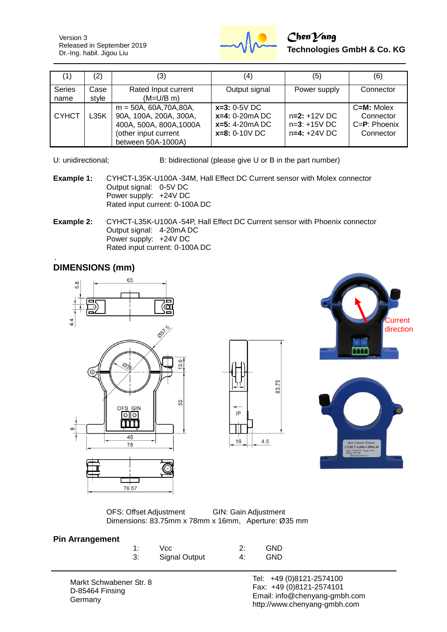Version 3 Released in September 2019 Dr.-Ing. habil. Jigou Liu



| (1)                   | (2)           | (3)                                                                                                                          | (4)                                                                       | (5)                                                | (6)                                                       |
|-----------------------|---------------|------------------------------------------------------------------------------------------------------------------------------|---------------------------------------------------------------------------|----------------------------------------------------|-----------------------------------------------------------|
| <b>Series</b><br>name | Case<br>style | Rated Input current<br>$(M=U/B$ m)                                                                                           | Output signal                                                             | Power supply                                       | Connector                                                 |
| <b>CYHCT</b>          | L35K          | $m = 50A, 60A, 70A, 80A,$<br>90A, 100A, 200A, 300A,<br>400A, 500A, 800A, 1000A<br>(other input current<br>between 50A-1000A) | $x=3: 0-5V$ DC<br>$x=4: 0-20mA DC$<br>$x=5: 4-20mA DC$<br>$x=8: 0-10V$ DC | $n=2: +12V$ DC<br>$n=3: +15V$ DC<br>$n=4: +24V$ DC | C=M: Molex<br>Connector<br>$C = P$ : Phoenix<br>Connector |

U: unidirectional; B: bidirectional (please give U or B in the part number)

- **Example 1:** CYHCT-L35K-U100A -34M, Hall Effect DC Current sensor with Molex connector Output signal: 0-5V DC Power supply: +24V DC Rated input current: 0-100A DC
- **Example 2:** CYHCT-L35K-U100A -54P, Hall Effect DC Current sensor with Phoenix connector Output signal: 4-20mA DC Power supply: +24V DC Rated input current: 0-100A DC

## **DIMENSIONS (mm)**







OFS: Offset Adjustment GIN: Gain Adjustment Dimensions: 83.75mm x 78mm x 16mm, Aperture: Ø35 mm

#### **Pin Arrangement**

| 1: | Vcc.                 |    | <b>GND</b> |
|----|----------------------|----|------------|
| 3: | <b>Signal Output</b> | 4: | <b>GND</b> |

83.75

 $4.5$ 

IP

16